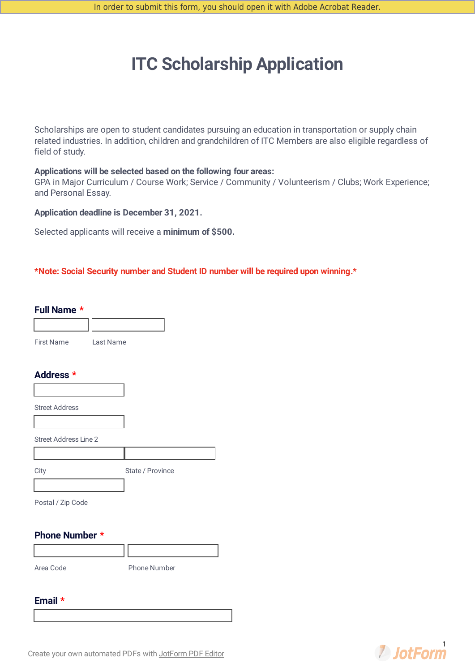# **ITC Scholarship Application**

Scholarships are open to student candidates pursuing an education in transportation or supply chain related industries. In addition, children and grandchildren of ITC Members are also eligible regardless of field of study.

#### **Applications will be selected based on the following four areas:**

GPA in Major Curriculum / Course Work; Service / Community / Volunteerism / Clubs; Work Experience; and Personal Essay.

#### **Application deadline is December 31, 2021.**

Selected applicants will receive a **minimum of \$500.**

#### **\*Note: Social Security number and Student ID number will be required upon winning.\***

#### **Full Name \***

First Name Last Name

### **Address \***

| <b>Street Address</b> |                  |
|-----------------------|------------------|
|                       |                  |
| Street Address Line 2 |                  |
|                       |                  |
|                       | State / Province |

Postal / Zip Code

### **Phone Number \***

Area Code Phone Number

#### **Email \***

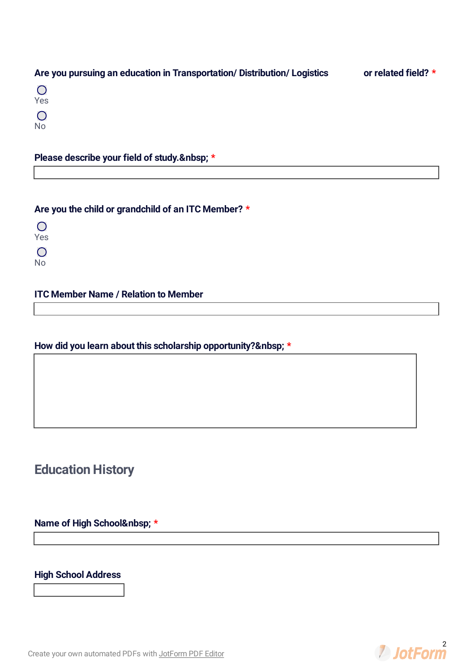|  | Are you pursuing an education in Transportation/ Distribution/ Logistics | or related field? * |
|--|--------------------------------------------------------------------------|---------------------|
|--|--------------------------------------------------------------------------|---------------------|

| m. |
|----|
| es |
|    |
|    |
| ٢. |

# **Please describe your field of study. \***

### **Are you the child or grandchild of an ITC Member? \***

 $\overline{O}$ Yes  $\overline{O}$ No

### **ITC Member Name / Relation to Member**

### **How did you learn about this scholarship opportunity? \***

# **Education History**

# **Name of High School \***

### **High School Address**

Create your own [automated](https://www.jotform.com/products/pdf-editor/?utm_source=pdf_file&utm_medium=referral&utm_term=212163539416151&utm_content=jotform_text&utm_campaign=pdf_file_branding_footer) PDFs with JotForm PDF Editor

**2** JotForm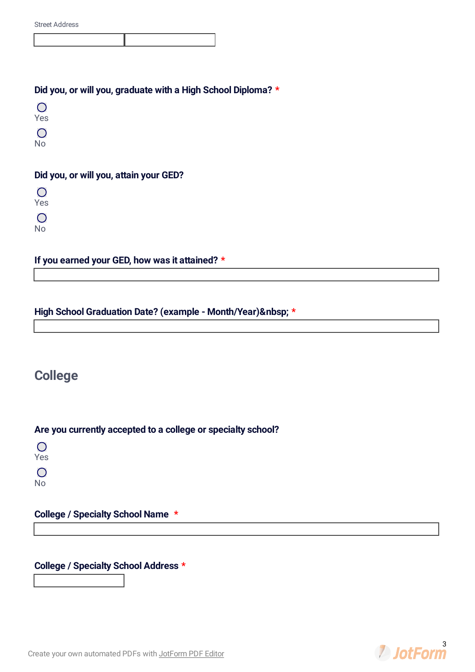|  | <b>Street Address</b> |
|--|-----------------------|
|--|-----------------------|

### **Did you, or will you, graduate with a High School Diploma? \***

 $\bigcirc$ No

### **Did you, or will you, attain your GED?**

 $\bigcirc$ Yes

 $\overline{O}$ 

No

# **If you earned your GED, how was it attained? \***

### **High School Graduation Date? (example - Month/Year) \***

# **College**

### **Are you currently accepted to a college or specialty school?**

 $\bigcirc$ Yes  $\bigcirc$ 

No

### **College / Specialty School Name \***

### **College / Specialty School Address \***

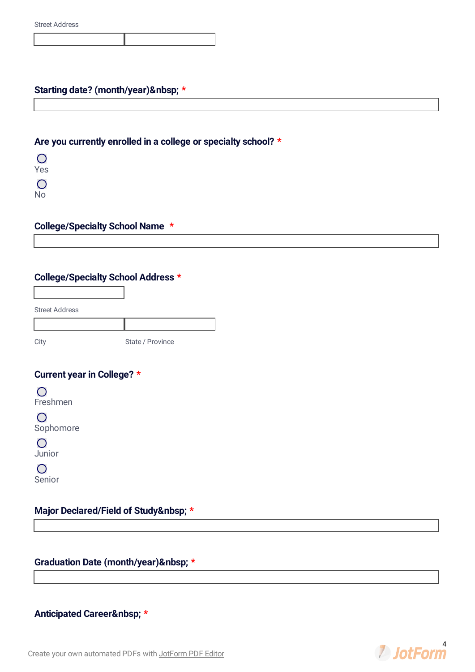### **Starting date? (month/year) \***

### **Are you currently enrolled in a college or specialty school? \***

 $\overline{O}$ Yes  $\overline{O}$ 

No

### **College/Specialty School Name \***

# **College/Specialty School Address \***

Street Address

City State / Province

### **Current year in College? \***

 $\bigcirc$ Freshmen

 $\bigcirc$ Sophomore

 $\bigcirc$ Junior

 $\bigcirc$ Senior

### **Major Declared/Field of Study \***

**Graduation Date (month/year) \***

### **Anticipated Career \***

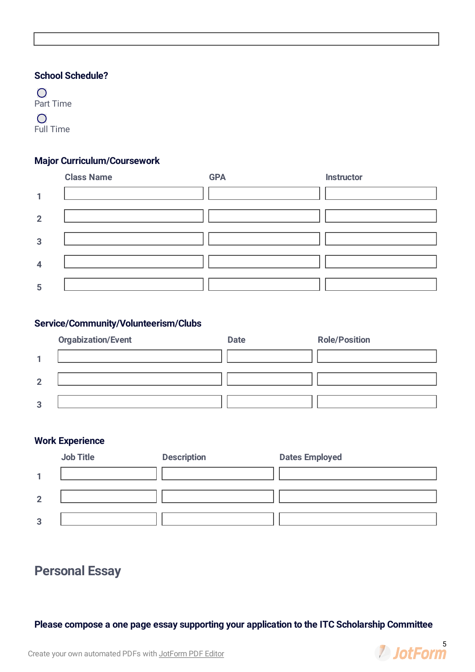### **School Schedule?**

 $\bigcirc$ Part Time  $\bigcirc$ 

Full Time

### **Major Curriculum/Coursework**

|                         | <b>Class Name</b> | <b>GPA</b> | <b>Instructor</b> |
|-------------------------|-------------------|------------|-------------------|
| 1                       |                   |            |                   |
| $\overline{2}$          |                   |            |                   |
| 3                       |                   |            |                   |
| $\overline{\mathbf{4}}$ |                   |            |                   |
| 5                       |                   |            |                   |

### **Service/Community/Volunteerism/Clubs**



### **Work Experience**

|                   | <b>Job Title</b> | <b>Description</b> | <b>Dates Employed</b> |
|-------------------|------------------|--------------------|-----------------------|
|                   |                  |                    |                       |
| $\mathbf{\Omega}$ |                  |                    |                       |
| 3                 |                  |                    |                       |

# **Personal Essay**

**Please compose a one page essay supporting your application to the ITC Scholarship Committee**